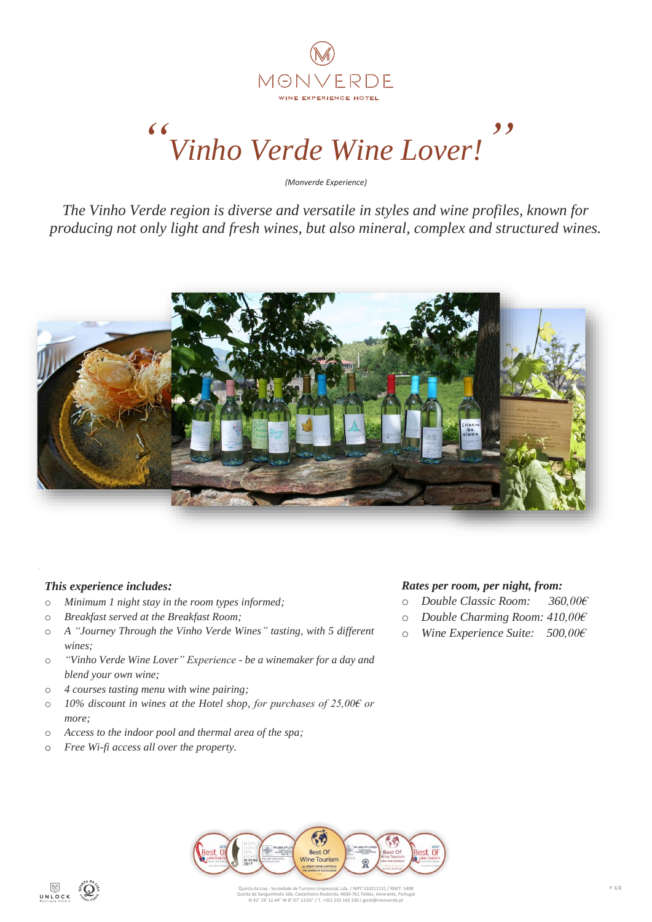

# *" Vinho Verde Wine Lover! "*

*(Monverde Experience)*

*The Vinho Verde region is diverse and versatile in styles and wine profiles, known for producing not only light and fresh wines, but also mineral, complex and structured wines.*



## *This experience includes:*

- o *Minimum 1 night stay in the room types informed;*
- o *Breakfast served at the Breakfast Room;*
- o *A "Journey Through the Vinho Verde Wines" tasting, with 5 different wines;*
- o *"Vinho Verde Wine Lover" Experience - be a winemaker for a day and blend your own wine;*
- o *4 courses tasting menu with wine pairing;*
- o *10% discount in wines at the Hotel shop, for purchases of 25,00€ or more;*
- o *Access to the indoor pool and thermal area of the spa;*
- o *Free Wi-fi access all over the property.*

### *Rates per room, per night, from:*

- o *Double Classic Room: 360,00€*
- o *Double Charming Room: 410,00€*
- o *Wine Experience Suite: 500,00€*